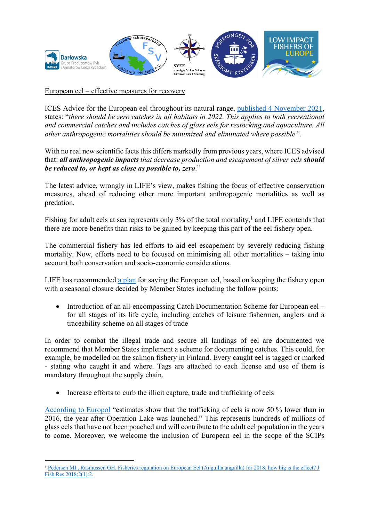

European eel – effective measures for recovery

ICES Advice for the European eel throughout its natural range, published 4 November 2021, states: "*there should be zero catches in all habitats in 2022. This applies to both recreational and commercial catches and includes catches of glass eels for restocking and aquaculture. All other anthropogenic mortalities should be minimized and eliminated where possible"*.

With no real new scientific facts this differs markedly from previous years, where ICES advised that: *all anthropogenic impacts that decrease production and escapement of silver eels should be reduced to, or kept as close as possible to, zero*."

The latest advice, wrongly in LIFE's view, makes fishing the focus of effective conservation measures, ahead of reducing other more important anthropogenic mortalities as well as predation.

Fishing for adult eels at sea represents only 3% of the total mortality,<sup>1</sup> and LIFE contends that there are more benefits than risks to be gained by keeping this part of the eel fishery open.

The commercial fishery has led efforts to aid eel escapement by severely reducing fishing mortality. Now, efforts need to be focused on minimising all other mortalities – taking into account both conservation and socio-economic considerations.

LIFE has recommended a plan for saving the European eel, based on keeping the fishery open with a seasonal closure decided by Member States including the follow points:

• Introduction of an all-encompassing Catch Documentation Scheme for European eel – for all stages of its life cycle, including catches of leisure fishermen, anglers and a traceability scheme on all stages of trade

In order to combat the illegal trade and secure all landings of eel are documented we recommend that Member States implement a scheme for documenting catches. This could, for example, be modelled on the salmon fishery in Finland. Every caught eel is tagged or marked - stating who caught it and where. Tags are attached to each license and use of them is mandatory throughout the supply chain.

• Increase efforts to curb the illicit capture, trade and trafficking of eels

According to Europol "estimates show that the trafficking of eels is now 50 % lower than in 2016, the year after Operation Lake was launched." This represents hundreds of millions of glass eels that have not been poached and will contribute to the adult eel population in the years to come. Moreover, we welcome the inclusion of European eel in the scope of the SCIPs

<sup>&</sup>lt;sup>1</sup> Pedersen MI, Rasmussen GH. Fisheries regulation on European Eel (Anguilla anguilla) for 2018; how big is the effect? J Fish Res 2018;2(1):2.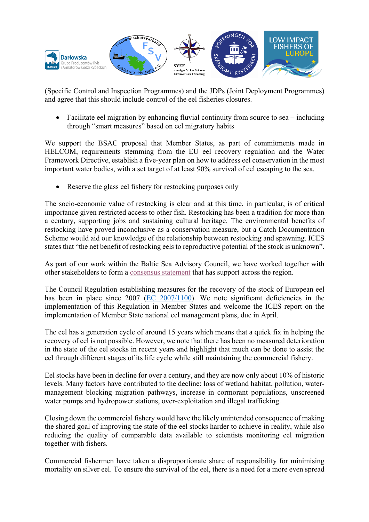

(Specific Control and Inspection Programmes) and the JDPs (Joint Deployment Programmes) and agree that this should include control of the eel fisheries closures.

• Facilitate eel migration by enhancing fluvial continuity from source to sea – including through "smart measures" based on eel migratory habits

We support the BSAC proposal that Member States, as part of commitments made in HELCOM, requirements stemming from the EU eel recovery regulation and the Water Framework Directive, establish a five-year plan on how to address eel conservation in the most important water bodies, with a set target of at least 90% survival of eel escaping to the sea.

Reserve the glass eel fishery for restocking purposes only

The socio-economic value of restocking is clear and at this time, in particular, is of critical importance given restricted access to other fish. Restocking has been a tradition for more than a century, supporting jobs and sustaining cultural heritage. The environmental benefits of restocking have proved inconclusive as a conservation measure, but a Catch Documentation Scheme would aid our knowledge of the relationship between restocking and spawning. ICES states that "the net benefit of restocking eels to reproductive potential of the stock is unknown".

As part of our work within the Baltic Sea Advisory Council, we have worked together with other stakeholders to form a consensus statement that has support across the region.

The Council Regulation establishing measures for the recovery of the stock of European eel has been in place since 2007 (EC 2007/1100). We note significant deficiencies in the implementation of this Regulation in Member States and welcome the ICES report on the implementation of Member State national eel management plans, due in April.

The eel has a generation cycle of around 15 years which means that a quick fix in helping the recovery of eel is not possible. However, we note that there has been no measured deterioration in the state of the eel stocks in recent years and highlight that much can be done to assist the eel through different stages of its life cycle while still maintaining the commercial fishery.

Eel stocks have been in decline for over a century, and they are now only about 10% of historic levels. Many factors have contributed to the decline: loss of wetland habitat, pollution, watermanagement blocking migration pathways, increase in cormorant populations, unscreened water pumps and hydropower stations, over-exploitation and illegal trafficking.

Closing down the commercial fishery would have the likely unintended consequence of making the shared goal of improving the state of the eel stocks harder to achieve in reality, while also reducing the quality of comparable data available to scientists monitoring eel migration together with fishers.

Commercial fishermen have taken a disproportionate share of responsibility for minimising mortality on silver eel. To ensure the survival of the eel, there is a need for a more even spread